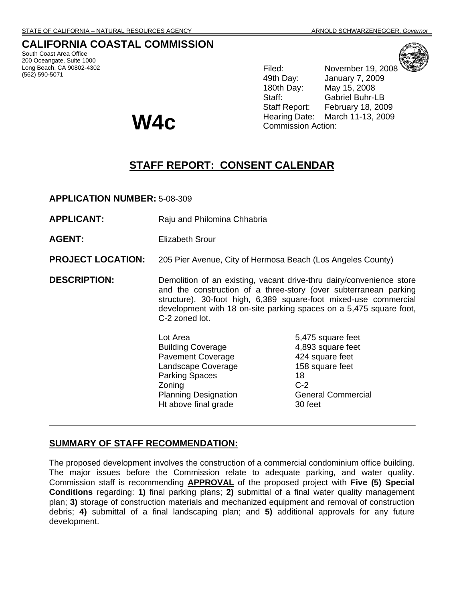# **CALIFORNIA COASTAL COMMISSION**

South Coast Area Office 200 Oceangate, Suite 1000 Long Beach, CA 90802-4302 (562) 590-5071



**W4c** 

Filed: November 19, 2008 49th Day: January 7, 2009 180th Day: May 15, 2008 Staff: Gabriel Buhr-LB Staff Report: February 18, 2009 Hearing Date: March 11-13, 2009 Commission Action:

# **STAFF REPORT: CONSENT CALENDAR**

**APPLICATION NUMBER:** 5-08-309

- **APPLICANT:** Raju and Philomina Chhabria
- **AGENT:** Elizabeth Srour
- **PROJECT LOCATION:** 205 Pier Avenue, City of Hermosa Beach (Los Angeles County)

**DESCRIPTION:** Demolition of an existing, vacant drive-thru dairy/convenience store and the construction of a three-story (over subterranean parking structure), 30-foot high, 6,389 square-foot mixed-use commercial development with 18 on-site parking spaces on a 5,475 square foot, C-2 zoned lot.

> Lot Area 5,475 square feet Building Coverage 4,893 square feet Pavement Coverage **424** square feet Landscape Coverage 158 square feet Parking Spaces 18 Zoning C-2 Planning Designation General Commercial Ht above final grade 30 feet

# **SUMMARY OF STAFF RECOMMENDATION:**

The proposed development involves the construction of a commercial condominium office building. The major issues before the Commission relate to adequate parking, and water quality. Commission staff is recommending **APPROVAL** of the proposed project with **Five (5) Special Conditions** regarding: **1)** final parking plans; **2)** submittal of a final water quality management plan; **3)** storage of construction materials and mechanized equipment and removal of construction debris; **4)** submittal of a final landscaping plan; and **5)** additional approvals for any future development.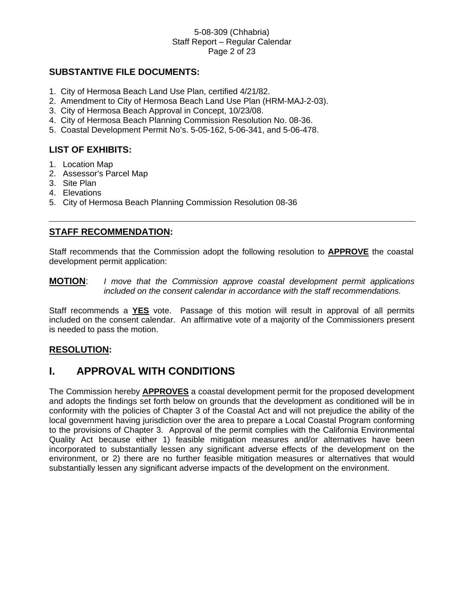### 5-08-309 (Chhabria) Staff Report – Regular Calendar Page 2 of 23

# **SUBSTANTIVE FILE DOCUMENTS:**

- 1. City of Hermosa Beach Land Use Plan, certified 4/21/82.
- 2. Amendment to City of Hermosa Beach Land Use Plan (HRM-MAJ-2-03).
- 3. City of Hermosa Beach Approval in Concept, 10/23/08.
- 4. City of Hermosa Beach Planning Commission Resolution No. 08-36.
- 5. Coastal Development Permit No's. 5-05-162, 5-06-341, and 5-06-478.

# **LIST OF EXHIBITS:**

- 1. Location Map
- 2. Assessor's Parcel Map
- 3. Site Plan
- 4. Elevations
- 5. City of Hermosa Beach Planning Commission Resolution 08-36

# **STAFF RECOMMENDATION:**

Staff recommends that the Commission adopt the following resolution to **APPROVE** the coastal development permit application:

## **MOTION**: *I move that the Commission approve coastal development permit applications included on the consent calendar in accordance with the staff recommendations.*

Staff recommends a **YES** vote. Passage of this motion will result in approval of all permits included on the consent calendar. An affirmative vote of a majority of the Commissioners present is needed to pass the motion.

# **RESOLUTION:**

# **I. APPROVAL WITH CONDITIONS**

The Commission hereby **APPROVES** a coastal development permit for the proposed development and adopts the findings set forth below on grounds that the development as conditioned will be in conformity with the policies of Chapter 3 of the Coastal Act and will not prejudice the ability of the local government having jurisdiction over the area to prepare a Local Coastal Program conforming to the provisions of Chapter 3. Approval of the permit complies with the California Environmental Quality Act because either 1) feasible mitigation measures and/or alternatives have been incorporated to substantially lessen any significant adverse effects of the development on the environment, or 2) there are no further feasible mitigation measures or alternatives that would substantially lessen any significant adverse impacts of the development on the environment.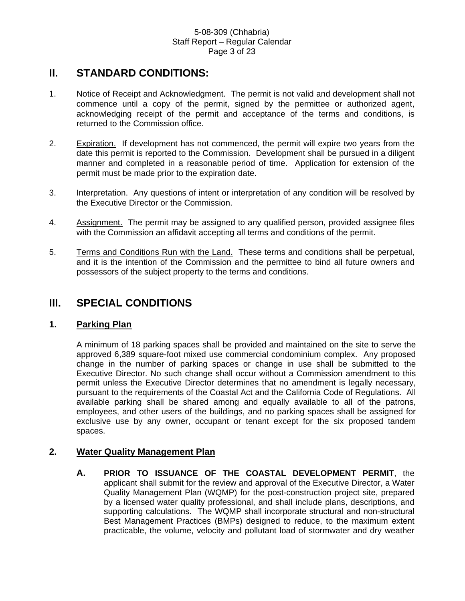#### 5-08-309 (Chhabria) Staff Report – Regular Calendar Page 3 of 23

# **II. STANDARD CONDITIONS:**

- 1. Notice of Receipt and Acknowledgment. The permit is not valid and development shall not commence until a copy of the permit, signed by the permittee or authorized agent, acknowledging receipt of the permit and acceptance of the terms and conditions, is returned to the Commission office.
- 2. Expiration. If development has not commenced, the permit will expire two years from the date this permit is reported to the Commission. Development shall be pursued in a diligent manner and completed in a reasonable period of time. Application for extension of the permit must be made prior to the expiration date.
- 3. Interpretation. Any questions of intent or interpretation of any condition will be resolved by the Executive Director or the Commission.
- 4. Assignment. The permit may be assigned to any qualified person, provided assignee files with the Commission an affidavit accepting all terms and conditions of the permit.
- 5. Terms and Conditions Run with the Land. These terms and conditions shall be perpetual, and it is the intention of the Commission and the permittee to bind all future owners and possessors of the subject property to the terms and conditions.

# **III. SPECIAL CONDITIONS**

# **1. Parking Plan**

A minimum of 18 parking spaces shall be provided and maintained on the site to serve the approved 6,389 square-foot mixed use commercial condominium complex. Any proposed change in the number of parking spaces or change in use shall be submitted to the Executive Director. No such change shall occur without a Commission amendment to this permit unless the Executive Director determines that no amendment is legally necessary, pursuant to the requirements of the Coastal Act and the California Code of Regulations. All available parking shall be shared among and equally available to all of the patrons, employees, and other users of the buildings, and no parking spaces shall be assigned for exclusive use by any owner, occupant or tenant except for the six proposed tandem spaces.

# **2. Water Quality Management Plan**

**A. PRIOR TO ISSUANCE OF THE COASTAL DEVELOPMENT PERMIT**, the applicant shall submit for the review and approval of the Executive Director, a Water Quality Management Plan (WQMP) for the post-construction project site, prepared by a licensed water quality professional, and shall include plans, descriptions, and supporting calculations. The WQMP shall incorporate structural and non-structural Best Management Practices (BMPs) designed to reduce, to the maximum extent practicable, the volume, velocity and pollutant load of stormwater and dry weather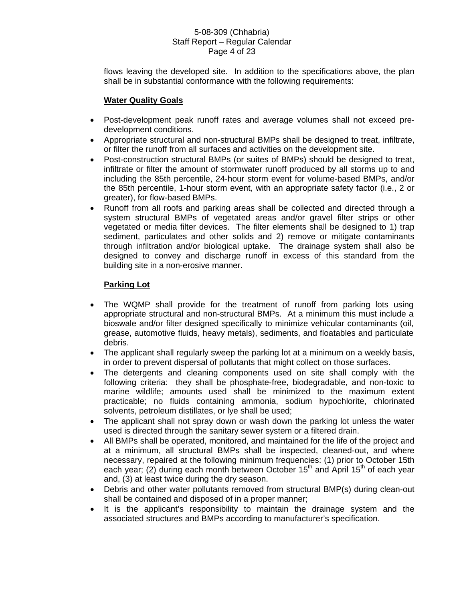#### 5-08-309 (Chhabria) Staff Report – Regular Calendar Page 4 of 23

flows leaving the developed site. In addition to the specifications above, the plan shall be in substantial conformance with the following requirements:

# **Water Quality Goals**

- Post-development peak runoff rates and average volumes shall not exceed predevelopment conditions.
- Appropriate structural and non-structural BMPs shall be designed to treat, infiltrate, or filter the runoff from all surfaces and activities on the development site.
- Post-construction structural BMPs (or suites of BMPs) should be designed to treat, infiltrate or filter the amount of stormwater runoff produced by all storms up to and including the 85th percentile, 24-hour storm event for volume-based BMPs, and/or the 85th percentile, 1-hour storm event, with an appropriate safety factor (i.e., 2 or greater), for flow-based BMPs.
- Runoff from all roofs and parking areas shall be collected and directed through a system structural BMPs of vegetated areas and/or gravel filter strips or other vegetated or media filter devices. The filter elements shall be designed to 1) trap sediment, particulates and other solids and 2) remove or mitigate contaminants through infiltration and/or biological uptake. The drainage system shall also be designed to convey and discharge runoff in excess of this standard from the building site in a non-erosive manner.

# **Parking Lot**

- The WQMP shall provide for the treatment of runoff from parking lots using appropriate structural and non-structural BMPs. At a minimum this must include a bioswale and/or filter designed specifically to minimize vehicular contaminants (oil, grease, automotive fluids, heavy metals), sediments, and floatables and particulate debris.
- The applicant shall regularly sweep the parking lot at a minimum on a weekly basis, in order to prevent dispersal of pollutants that might collect on those surfaces.
- The detergents and cleaning components used on site shall comply with the following criteria: they shall be phosphate-free, biodegradable, and non-toxic to marine wildlife; amounts used shall be minimized to the maximum extent practicable; no fluids containing ammonia, sodium hypochlorite, chlorinated solvents, petroleum distillates, or lye shall be used;
- The applicant shall not spray down or wash down the parking lot unless the water used is directed through the sanitary sewer system or a filtered drain.
- All BMPs shall be operated, monitored, and maintained for the life of the project and at a minimum, all structural BMPs shall be inspected, cleaned-out, and where necessary, repaired at the following minimum frequencies: (1) prior to October 15th each year; (2) during each month between October 15<sup>th</sup> and April 15<sup>th</sup> of each year and, (3) at least twice during the dry season.
- Debris and other water pollutants removed from structural BMP(s) during clean-out shall be contained and disposed of in a proper manner;
- It is the applicant's responsibility to maintain the drainage system and the associated structures and BMPs according to manufacturer's specification.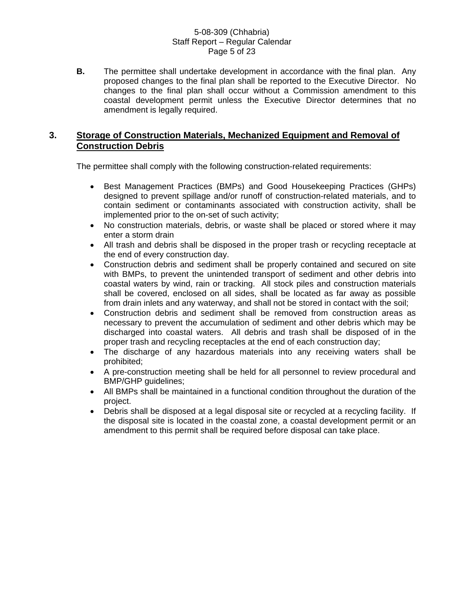#### 5-08-309 (Chhabria) Staff Report – Regular Calendar Page 5 of 23

**B.** The permittee shall undertake development in accordance with the final plan. Any proposed changes to the final plan shall be reported to the Executive Director. No changes to the final plan shall occur without a Commission amendment to this coastal development permit unless the Executive Director determines that no amendment is legally required.

# **3. Storage of Construction Materials, Mechanized Equipment and Removal of Construction Debris**

The permittee shall comply with the following construction-related requirements:

- Best Management Practices (BMPs) and Good Housekeeping Practices (GHPs) designed to prevent spillage and/or runoff of construction-related materials, and to contain sediment or contaminants associated with construction activity, shall be implemented prior to the on-set of such activity;
- No construction materials, debris, or waste shall be placed or stored where it may enter a storm drain
- All trash and debris shall be disposed in the proper trash or recycling receptacle at the end of every construction day.
- Construction debris and sediment shall be properly contained and secured on site with BMPs, to prevent the unintended transport of sediment and other debris into coastal waters by wind, rain or tracking. All stock piles and construction materials shall be covered, enclosed on all sides, shall be located as far away as possible from drain inlets and any waterway, and shall not be stored in contact with the soil;
- Construction debris and sediment shall be removed from construction areas as necessary to prevent the accumulation of sediment and other debris which may be discharged into coastal waters. All debris and trash shall be disposed of in the proper trash and recycling receptacles at the end of each construction day;
- The discharge of any hazardous materials into any receiving waters shall be prohibited;
- A pre-construction meeting shall be held for all personnel to review procedural and BMP/GHP guidelines;
- All BMPs shall be maintained in a functional condition throughout the duration of the project.
- Debris shall be disposed at a legal disposal site or recycled at a recycling facility. If the disposal site is located in the coastal zone, a coastal development permit or an amendment to this permit shall be required before disposal can take place.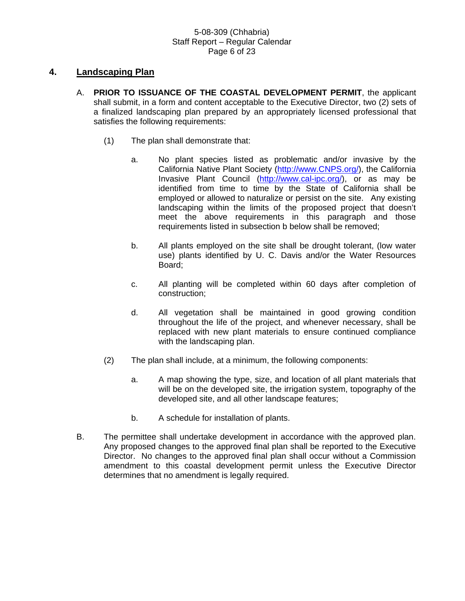### 5-08-309 (Chhabria) Staff Report – Regular Calendar Page 6 of 23

# **4. Landscaping Plan**

- A. **PRIOR TO ISSUANCE OF THE COASTAL DEVELOPMENT PERMIT**, the applicant shall submit, in a form and content acceptable to the Executive Director, two (2) sets of a finalized landscaping plan prepared by an appropriately licensed professional that satisfies the following requirements:
	- (1) The plan shall demonstrate that:
		- a. No plant species listed as problematic and/or invasive by the California Native Plant Society [\(http://www.CNPS.org/](http://www.cnps.org/)), the California Invasive Plant Council (<http://www.cal-ipc.org/>), or as may be identified from time to time by the State of California shall be employed or allowed to naturalize or persist on the site. Any existing landscaping within the limits of the proposed project that doesn't meet the above requirements in this paragraph and those requirements listed in subsection b below shall be removed;
		- b. All plants employed on the site shall be drought tolerant, (low water use) plants identified by U. C. Davis and/or the Water Resources Board;
		- c. All planting will be completed within 60 days after completion of construction;
		- d. All vegetation shall be maintained in good growing condition throughout the life of the project, and whenever necessary, shall be replaced with new plant materials to ensure continued compliance with the landscaping plan.
	- (2) The plan shall include, at a minimum, the following components:
		- a. A map showing the type, size, and location of all plant materials that will be on the developed site, the irrigation system, topography of the developed site, and all other landscape features;
		- b. A schedule for installation of plants.
- B. The permittee shall undertake development in accordance with the approved plan. Any proposed changes to the approved final plan shall be reported to the Executive Director. No changes to the approved final plan shall occur without a Commission amendment to this coastal development permit unless the Executive Director determines that no amendment is legally required.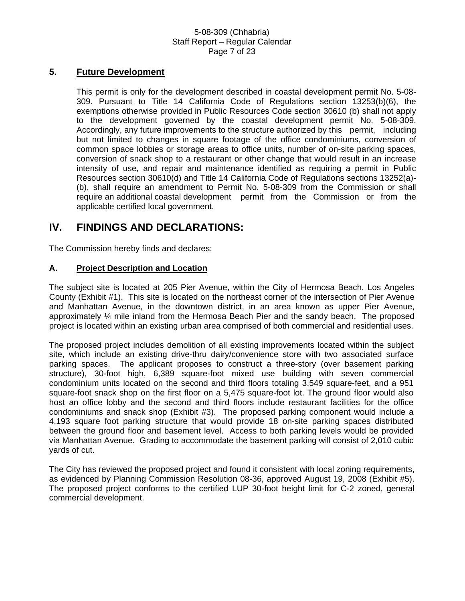## 5-08-309 (Chhabria) Staff Report – Regular Calendar Page 7 of 23

# **5. Future Development**

This permit is only for the development described in coastal development permit No. 5-08- 309. Pursuant to Title 14 California Code of Regulations section 13253(b)(6), the exemptions otherwise provided in Public Resources Code section 30610 (b) shall not apply to the development governed by the coastal development permit No. 5-08-309. Accordingly, any future improvements to the structure authorized by this permit, including but not limited to changes in square footage of the office condominiums, conversion of common space lobbies or storage areas to office units, number of on-site parking spaces, conversion of snack shop to a restaurant or other change that would result in an increase intensity of use, and repair and maintenance identified as requiring a permit in Public Resources section 30610(d) and Title 14 California Code of Regulations sections 13252(a)- (b), shall require an amendment to Permit No. 5-08-309 from the Commission or shall require an additional coastal development permit from the Commission or from the applicable certified local government.

# **IV. FINDINGS AND DECLARATIONS:**

The Commission hereby finds and declares:

# **A. Project Description and Location**

The subject site is located at 205 Pier Avenue, within the City of Hermosa Beach, Los Angeles County (Exhibit #1). This site is located on the northeast corner of the intersection of Pier Avenue and Manhattan Avenue, in the downtown district, in an area known as upper Pier Avenue, approximately ¼ mile inland from the Hermosa Beach Pier and the sandy beach. The proposed project is located within an existing urban area comprised of both commercial and residential uses.

The proposed project includes demolition of all existing improvements located within the subject site, which include an existing drive-thru dairy/convenience store with two associated surface parking spaces. The applicant proposes to construct a three-story (over basement parking structure), 30-foot high, 6,389 square-foot mixed use building with seven commercial condominium units located on the second and third floors totaling 3,549 square-feet, and a 951 square-foot snack shop on the first floor on a 5,475 square-foot lot. The ground floor would also host an office lobby and the second and third floors include restaurant facilities for the office condominiums and snack shop (Exhibit #3). The proposed parking component would include a 4,193 square foot parking structure that would provide 18 on-site parking spaces distributed between the ground floor and basement level. Access to both parking levels would be provided via Manhattan Avenue. Grading to accommodate the basement parking will consist of 2,010 cubic yards of cut.

The City has reviewed the proposed project and found it consistent with local zoning requirements, as evidenced by Planning Commission Resolution 08-36, approved August 19, 2008 (Exhibit #5). The proposed project conforms to the certified LUP 30-foot height limit for C-2 zoned, general commercial development.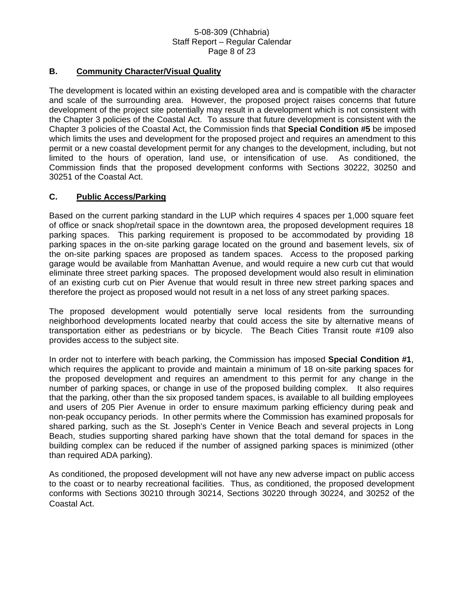#### 5-08-309 (Chhabria) Staff Report – Regular Calendar Page 8 of 23

## **B. Community Character/Visual Quality**

The development is located within an existing developed area and is compatible with the character and scale of the surrounding area. However, the proposed project raises concerns that future development of the project site potentially may result in a development which is not consistent with the Chapter 3 policies of the Coastal Act. To assure that future development is consistent with the Chapter 3 policies of the Coastal Act, the Commission finds that **Special Condition #5** be imposed which limits the uses and development for the proposed project and requires an amendment to this permit or a new coastal development permit for any changes to the development, including, but not limited to the hours of operation, land use, or intensification of use. As conditioned, the Commission finds that the proposed development conforms with Sections 30222, 30250 and 30251 of the Coastal Act.

# **C. Public Access/Parking**

Based on the current parking standard in the LUP which requires 4 spaces per 1,000 square feet of office or snack shop/retail space in the downtown area, the proposed development requires 18 parking spaces. This parking requirement is proposed to be accommodated by providing 18 parking spaces in the on-site parking garage located on the ground and basement levels, six of the on-site parking spaces are proposed as tandem spaces. Access to the proposed parking garage would be available from Manhattan Avenue, and would require a new curb cut that would eliminate three street parking spaces. The proposed development would also result in elimination of an existing curb cut on Pier Avenue that would result in three new street parking spaces and therefore the project as proposed would not result in a net loss of any street parking spaces.

The proposed development would potentially serve local residents from the surrounding neighborhood developments located nearby that could access the site by alternative means of transportation either as pedestrians or by bicycle. The Beach Cities Transit route #109 also provides access to the subject site.

In order not to interfere with beach parking, the Commission has imposed **Special Condition #1**, which requires the applicant to provide and maintain a minimum of 18 on-site parking spaces for the proposed development and requires an amendment to this permit for any change in the number of parking spaces, or change in use of the proposed building complex. It also requires that the parking, other than the six proposed tandem spaces, is available to all building employees and users of 205 Pier Avenue in order to ensure maximum parking efficiency during peak and non-peak occupancy periods. In other permits where the Commission has examined proposals for shared parking, such as the St. Joseph's Center in Venice Beach and several projects in Long Beach, studies supporting shared parking have shown that the total demand for spaces in the building complex can be reduced if the number of assigned parking spaces is minimized (other than required ADA parking).

As conditioned, the proposed development will not have any new adverse impact on public access to the coast or to nearby recreational facilities. Thus, as conditioned, the proposed development conforms with Sections 30210 through 30214, Sections 30220 through 30224, and 30252 of the Coastal Act.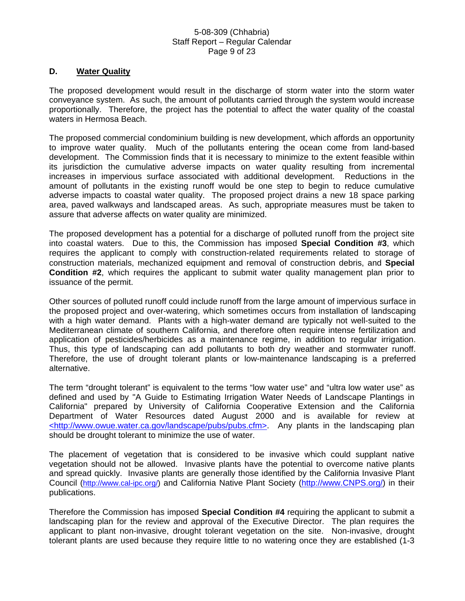#### 5-08-309 (Chhabria) Staff Report – Regular Calendar Page 9 of 23

## **D. Water Quality**

The proposed development would result in the discharge of storm water into the storm water conveyance system. As such, the amount of pollutants carried through the system would increase proportionally. Therefore, the project has the potential to affect the water quality of the coastal waters in Hermosa Beach.

The proposed commercial condominium building is new development, which affords an opportunity to improve water quality. Much of the pollutants entering the ocean come from land-based development. The Commission finds that it is necessary to minimize to the extent feasible within its jurisdiction the cumulative adverse impacts on water quality resulting from incremental increases in impervious surface associated with additional development. Reductions in the amount of pollutants in the existing runoff would be one step to begin to reduce cumulative adverse impacts to coastal water quality. The proposed project drains a new 18 space parking area, paved walkways and landscaped areas. As such, appropriate measures must be taken to assure that adverse affects on water quality are minimized.

The proposed development has a potential for a discharge of polluted runoff from the project site into coastal waters. Due to this, the Commission has imposed **Special Condition #3**, which requires the applicant to comply with construction-related requirements related to storage of construction materials, mechanized equipment and removal of construction debris, and **Special Condition #2**, which requires the applicant to submit water quality management plan prior to issuance of the permit.

Other sources of polluted runoff could include runoff from the large amount of impervious surface in the proposed project and over-watering, which sometimes occurs from installation of landscaping with a high water demand. Plants with a high-water demand are typically not well-suited to the Mediterranean climate of southern California, and therefore often require intense fertilization and application of pesticides/herbicides as a maintenance regime, in addition to regular irrigation. Thus, this type of landscaping can add pollutants to both dry weather and stormwater runoff. Therefore, the use of drought tolerant plants or low-maintenance landscaping is a preferred alternative.

The term "drought tolerant" is equivalent to the terms "low water use" and "ultra low water use" as defined and used by "A Guide to Estimating Irrigation Water Needs of Landscape Plantings in California" prepared by University of California Cooperative Extension and the California Department of Water Resources dated August 2000 and is available for review at <http://www.owue.water.ca.gov/landscape/pubs/pubs.cfm>. Any plants in the landscaping plan should be drought tolerant to minimize the use of water.

The placement of vegetation that is considered to be invasive which could supplant native vegetation should not be allowed. Invasive plants have the potential to overcome native plants and spread quickly. Invasive plants are generally those identified by the California Invasive Plant Council [\(http://www.cal-ipc.org/\)](http://www.cal-ipc.org/) and California Native Plant Society [\(http://www.CNPS.org/](http://www.cnps.org/)) in their publications.

Therefore the Commission has imposed **Special Condition #4** requiring the applicant to submit a landscaping plan for the review and approval of the Executive Director. The plan requires the applicant to plant non-invasive, drought tolerant vegetation on the site. Non-invasive, drought tolerant plants are used because they require little to no watering once they are established (1-3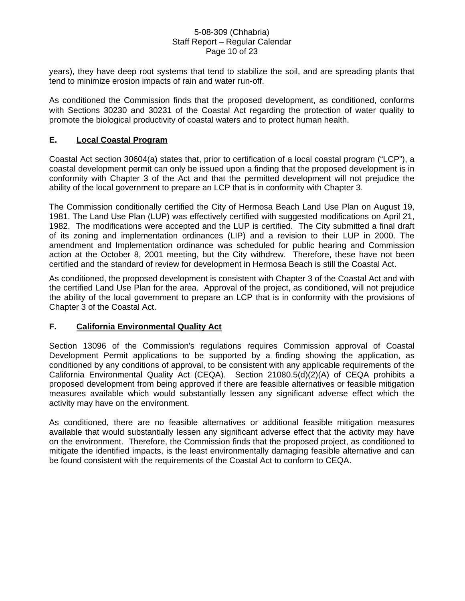#### 5-08-309 (Chhabria) Staff Report – Regular Calendar Page 10 of 23

years), they have deep root systems that tend to stabilize the soil, and are spreading plants that tend to minimize erosion impacts of rain and water run-off.

As conditioned the Commission finds that the proposed development, as conditioned, conforms with Sections 30230 and 30231 of the Coastal Act regarding the protection of water quality to promote the biological productivity of coastal waters and to protect human health.

# **E. Local Coastal Program**

Coastal Act section 30604(a) states that, prior to certification of a local coastal program ("LCP"), a coastal development permit can only be issued upon a finding that the proposed development is in conformity with Chapter 3 of the Act and that the permitted development will not prejudice the ability of the local government to prepare an LCP that is in conformity with Chapter 3.

The Commission conditionally certified the City of Hermosa Beach Land Use Plan on August 19, 1981. The Land Use Plan (LUP) was effectively certified with suggested modifications on April 21, 1982. The modifications were accepted and the LUP is certified. The City submitted a final draft of its zoning and implementation ordinances (LIP) and a revision to their LUP in 2000. The amendment and Implementation ordinance was scheduled for public hearing and Commission action at the October 8, 2001 meeting, but the City withdrew. Therefore, these have not been certified and the standard of review for development in Hermosa Beach is still the Coastal Act.

As conditioned, the proposed development is consistent with Chapter 3 of the Coastal Act and with the certified Land Use Plan for the area. Approval of the project, as conditioned, will not prejudice the ability of the local government to prepare an LCP that is in conformity with the provisions of Chapter 3 of the Coastal Act.

# **F. California Environmental Quality Act**

Section 13096 of the Commission's regulations requires Commission approval of Coastal Development Permit applications to be supported by a finding showing the application, as conditioned by any conditions of approval, to be consistent with any applicable requirements of the California Environmental Quality Act (CEQA). Section 21080.5(d)(2)(A) of CEQA prohibits a proposed development from being approved if there are feasible alternatives or feasible mitigation measures available which would substantially lessen any significant adverse effect which the activity may have on the environment.

As conditioned, there are no feasible alternatives or additional feasible mitigation measures available that would substantially lessen any significant adverse effect that the activity may have on the environment. Therefore, the Commission finds that the proposed project, as conditioned to mitigate the identified impacts, is the least environmentally damaging feasible alternative and can be found consistent with the requirements of the Coastal Act to conform to CEQA.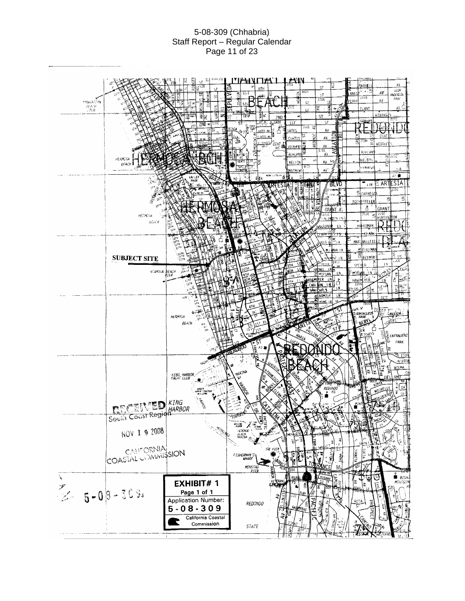## 5-08-309 (Chhabria) Staff Report – Regular Calendar Page 11 of 23

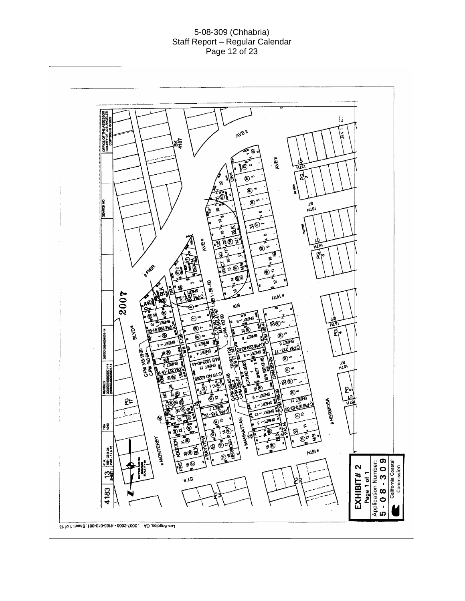#### 5-08-309 (Chhabria) Staff Report – Regular Calendar Page 12 of 23

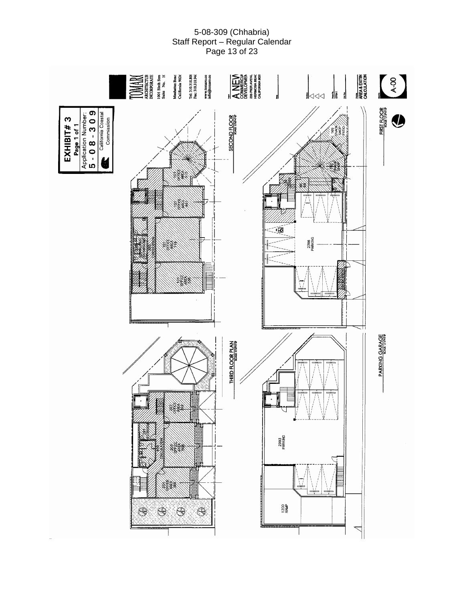# 5-08-309 (Chhabria) Staff Report – Regular Calendar Page 13 of 23

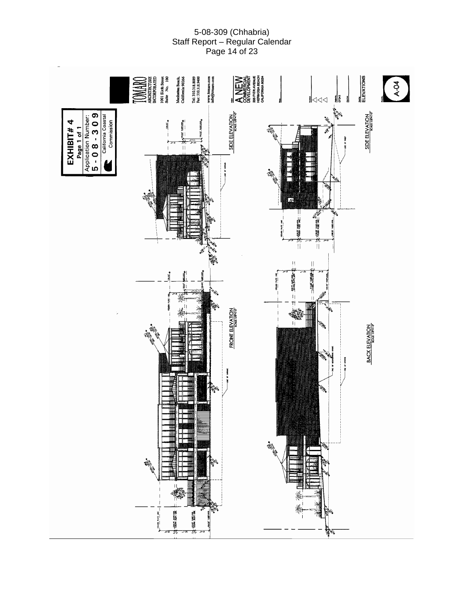# 5-08-309 (Chhabria) Staff Report – Regular Calendar Page 14 of 23

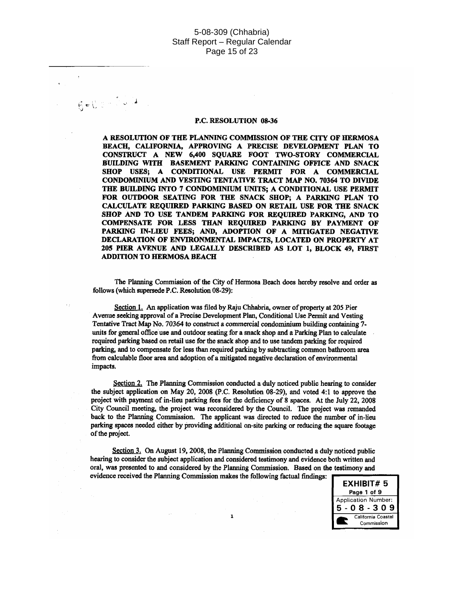#### 5-08-309 (Chhabria) Staff Report - Regular Calendar Page 15 of 23

#### P.C. RESOLUTION 08-36

 $6 - 0$   $3 - 7 - 1$ 

A RESOLUTION OF THE PLANNING COMMISSION OF THE CITY OF HERMOSA BEACH, CALIFORNIA, APPROVING A PRECISE DEVELOPMENT PLAN TO CONSTRUCT A NEW 6,400 SQUARE FOOT TWO-STORY COMMERCIAL BUILDING WITH BASEMENT PARKING CONTAINING OFFICE AND SNACK SHOP USES; A CONDITIONAL USE PERMIT FOR A COMMERCIAL CONDOMINIUM AND VESTING TENTATIVE TRACT MAP NO. 70364 TO DIVIDE THE BUILDING INTO 7 CONDOMINIUM UNITS; A CONDITIONAL USE PERMIT FOR OUTDOOR SEATING FOR THE SNACK SHOP; A PARKING PLAN TO CALCULATE REQUIRED PARKING BASED ON RETAIL USE FOR THE SNACK SHOP AND TO USE TANDEM PARKING FOR REOUIRED PARKING, AND TO COMPENSATE FOR LESS THAN REQUIRED PARKING BY PAYMENT OF PARKING IN-LIEU FEES; AND, ADOPTION OF A MITIGATED NEGATIVE DECLARATION OF ENVIRONMENTAL IMPACTS, LOCATED ON PROPERTY AT 205 PIER AVENUE AND LEGALLY DESCRIBED AS LOT 1, BLOCK 49, FIRST **ADDITION TO HERMOSA BEACH** 

The Planning Commission of the City of Hermosa Beach does hereby resolve and order as follows (which supersede P.C. Resolution 08-29):

Section 1. An application was filed by Raju Chhabria, owner of property at 205 Pier Avenue seeking approval of a Precise Development Plan, Conditional Use Permit and Vesting Tentative Tract Map No. 70364 to construct a commercial condominium building containing 7units for general office use and outdoor seating for a snack shop and a Parking Plan to calculate required parking based on retail use for the snack shop and to use tandem parking for required parking, and to compensate for less than required parking by subtracting common bathroom area from calculable floor area and adoption of a mitigated negative declaration of environmental impacts.

Section 2. The Planning Commission conducted a duly noticed public hearing to consider the subject application on May 20, 2008 (P.C. Resolution 08-29), and voted 4:1 to approve the project with payment of in-lieu parking fees for the deficiency of 8 spaces. At the July 22, 2008 City Council meeting, the project was reconsidered by the Council. The project was remanded back to the Planning Commission. The applicant was directed to reduce the number of in-lieu parking spaces needed either by providing additional on-site parking or reducing the square footage of the project.

Section 3. On August 19, 2008, the Planning Commission conducted a duly noticed public hearing to consider the subject application and considered testimony and evidence both written and oral, was presented to and considered by the Planning Commission. Based on the testimony and evidence received the Planning Commission makes the following factual findings:

 $\mathbf{1}$ 

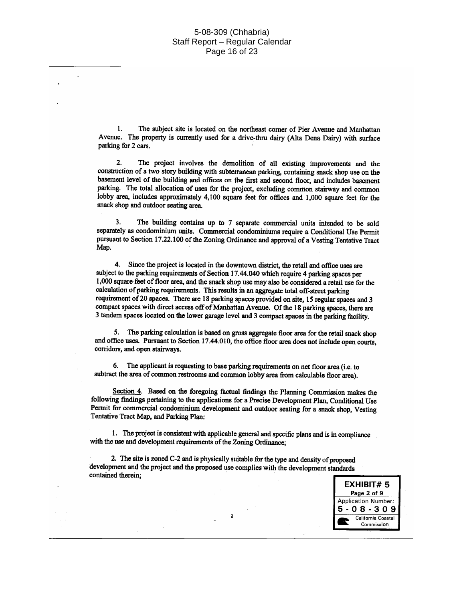#### 5-08-309 (Chhabria) Staff Report - Regular Calendar Page 16 of 23

1. The subject site is located on the northeast corner of Pier Avenue and Manhattan Avenue. The property is currently used for a drive-thru dairy (Alta Dena Dairy) with surface parking for 2 cars.

The project involves the demolition of all existing improvements and the  $2.$ construction of a two story building with subterranean parking, containing snack shop use on the basement level of the building and offices on the first and second floor, and includes basement parking. The total allocation of uses for the project, excluding common stairway and common lobby area, includes approximately 4,100 square feet for offices and 1,000 square feet for the snack shop and outdoor seating area.

The building contains up to 7 separate commercial units intended to be sold 3. separately as condominium units. Commercial condominiums require a Conditional Use Permit pursuant to Section 17.22.100 of the Zoning Ordinance and approval of a Vesting Tentative Tract Map.

4. Since the project is located in the downtown district, the retail and office uses are subject to the parking requirements of Section 17.44.040 which require 4 parking spaces per 1,000 square feet of floor area, and the snack shop use may also be considered a retail use for the calculation of parking requirements. This results in an aggregate total off-street parking requirement of 20 spaces. There are 18 parking spaces provided on site, 15 regular spaces and 3 compact spaces with direct access off of Manhattan Avenue. Of the 18 parking spaces, there are 3 tandem spaces located on the lower garage level and 3 compact spaces in the parking facility.

5. The parking calculation is based on gross aggregate floor area for the retail snack shop and office uses. Pursuant to Section 17.44.010, the office floor area does not include open courts, corridors, and open stairways.

6. The applicant is requesting to base parking requirements on net floor area (i.e. to subtract the area of common restrooms and common lobby area from calculable floor area).

Section  $\overline{4}$ . Based on the foregoing factual findings the Planning Commission makes the following findings pertaining to the applications for a Precise Development Plan, Conditional Use Permit for commercial condominium development and outdoor seating for a snack shop, Vesting Tentative Tract Map, and Parking Plan:

1. The project is consistent with applicable general and specific plans and is in compliance with the use and development requirements of the Zoning Ordinance:

 $\overline{\mathbf{2}}$ 

2. The site is zoned C-2 and is physically suitable for the type and density of proposed development and the project and the proposed use complies with the development standards contained therein;

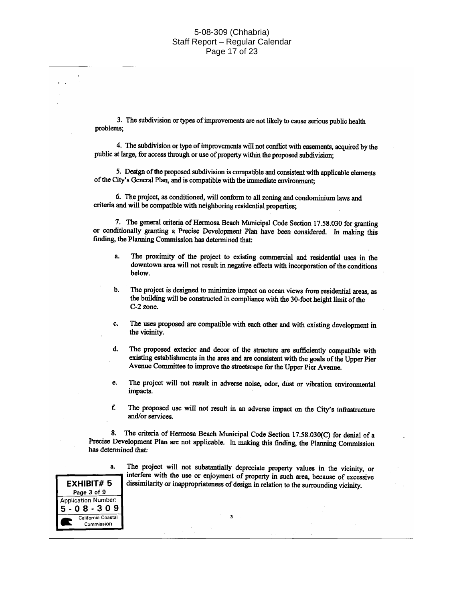#### 5-08-309 (Chhabria) Staff Report - Regular Calendar Page 17 of 23

3. The subdivision or types of improvements are not likely to cause serious public health problems:

4. The subdivision or type of improvements will not conflict with easements, acquired by the public at large, for access through or use of property within the proposed subdivision;

5. Design of the proposed subdivision is compatible and consistent with applicable elements of the City's General Plan, and is compatible with the immediate environment:

6. The project, as conditioned, will conform to all zoning and condominium laws and criteria and will be compatible with neighboring residential properties;

7. The general criteria of Hermosa Beach Municipal Code Section 17.58.030 for granting or conditionally granting a Precise Development Plan have been considered. In making this finding, the Planning Commission has determined that:

- The proximity of the project to existing commercial and residential uses in the a. downtown area will not result in negative effects with incorporation of the conditions below.
- **.** The project is designed to minimize impact on ocean views from residential areas, as the building will be constructed in compliance with the 30-foot height limit of the  $C-2$  zone.
- The uses proposed are compatible with each other and with existing development in c. the vicinity.
- The proposed exterior and decor of the structure are sufficiently compatible with d. existing establishments in the area and are consistent with the goals of the Upper Pier Avenue Committee to improve the streetscape for the Upper Pier Avenue.
- The project will not result in adverse noise, odor, dust or vibration environmental e. impacts.
- f. The proposed use will not result in an adverse impact on the City's infrastructure and/or services.

The criteria of Hermosa Beach Municipal Code Section 17.58.030(C) for denial of a 8. Precise Development Plan are not applicable. In making this finding, the Planning Commission has determined that:

 $\overline{\mathbf{a}}$ 



The project will not substantially depreciate property values in the vicinity, or interfere with the use or enjoyment of property in such area, because of excessive dissimilarity or inappropriateness of design in relation to the surrounding vicinity.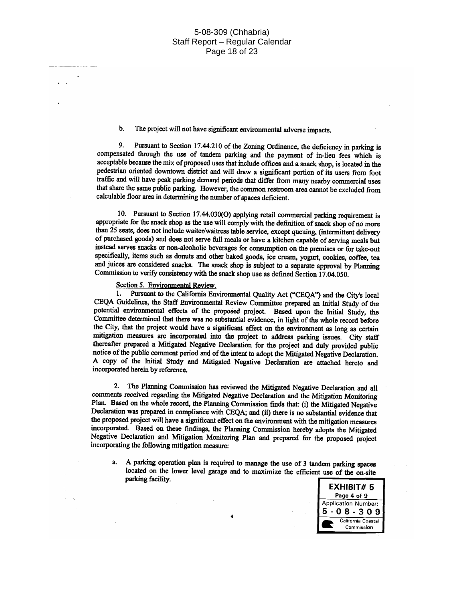#### b. The project will not have significant environmental adverse impacts.

9. Pursuant to Section 17.44.210 of the Zoning Ordinance, the deficiency in parking is compensated through the use of tandem parking and the payment of in-lieu fees which is acceptable because the mix of proposed uses that include offices and a snack shop, is located in the pedestrian oriented downtown district and will draw a significant portion of its users from foot traffic and will have peak parking demand periods that differ from many nearby commercial uses that share the same public parking. However, the common restroom area cannot be excluded from calculable floor area in determining the number of spaces deficient.

10. Pursuant to Section 17.44.030(O) applying retail commercial parking requirement is appropriate for the snack shop as the use will comply with the definition of snack shop of no more than 25 seats, does not include waiter/waitress table service, except queuing, (intermittent delivery of purchased goods) and does not serve full meals or have a kitchen capable of serving meals but instead serves snacks or non-alcoholic beverages for consumption on the premises or for take-out specifically, items such as donuts and other baked goods, ice cream, yogurt, cookies, coffee, tea and juices are considered snacks. The snack shop is subject to a separate approval by Planning Commission to verify consistency with the snack shop use as defined Section 17.04.050.

#### Section 5. Environmental Review.

1. Pursuant to the California Environmental Quality Act ("CEQA") and the City's local CEQA Guidelines, the Staff Environmental Review Committee prepared an Initial Study of the potential environmental effects of the proposed project. Based upon the Initial Study, the Committee determined that there was no substantial evidence, in light of the whole record before the City, that the project would have a significant effect on the environment as long as certain mitigation measures are incorporated into the project to address parking issues. City staff thereafter prepared a Mitigated Negative Declaration for the project and duly provided public notice of the public comment period and of the intent to adopt the Mitigated Negative Declaration. A copy of the Initial Study and Mitigated Negative Declaration are attached hereto and incorporated herein by reference.

2. The Planning Commission has reviewed the Mitigated Negative Declaration and all comments received regarding the Mitigated Negative Declaration and the Mitigation Monitoring Plan. Based on the whole record, the Planning Commission finds that: (i) the Mitigated Negative Declaration was prepared in compliance with CEQA; and (ii) there is no substantial evidence that the proposed project will have a significant effect on the environment with the mitigation measures incorporated. Based on these findings, the Planning Commission hereby adopts the Mitigated Negative Declaration and Mitigation Monitoring Plan and prepared for the proposed project incorporating the following mitigation measure:

A parking operation plan is required to manage the use of 3 tandem parking spaces a. located on the lower level garage and to maximize the efficient use of the on-site parking facility.



 $\overline{\mathbf{A}}$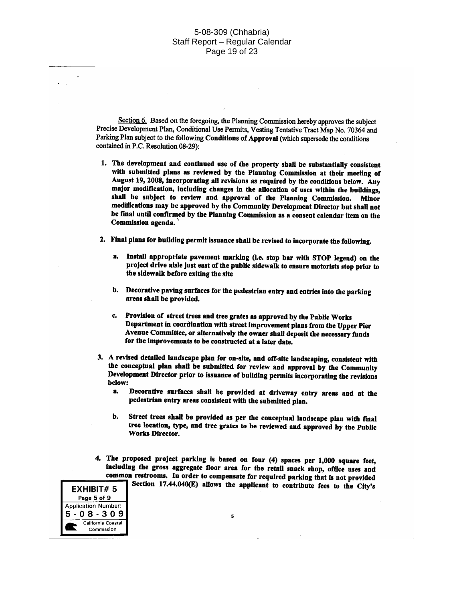Section 6. Based on the foregoing, the Planning Commission hereby approves the subject Precise Development Plan, Conditional Use Permits, Vesting Tentative Tract Map No. 70364 and Parking Plan subject to the following Conditions of Approval (which supersede the conditions contained in P.C. Resolution 08-29):

- 1. The development and continued use of the property shall be substantially consistent with submitted plans as reviewed by the Planning Commission at their meeting of August 19, 2008, incorporating all revisions as required by the conditions below. Any major modification, including changes in the allocation of uses within the buildings, shall be subject to review and approval of the Planning Commission. Minor modifications may be approved by the Community Development Director but shall not be final until confirmed by the Planning Commission as a consent calendar item on the Commission agenda.
- 2. Final plans for building permit issuance shall be revised to incorporate the following.
	- a. Install appropriate pavement marking (i.e. stop bar with STOP legend) on the project drive aisle just east of the public sidewalk to ensure motorists stop prior to the sidewalk before exiting the site
	- b. Decorative paving surfaces for the pedestrian entry and entries into the parking areas shall be provided.
	- c. Provision of street trees and tree grates as approved by the Public Works Department in coordination with street improvement plans from the Upper Pier Avenue Committee, or alternatively the owner shall deposit the necessary funds for the improvements to be constructed at a later date.
- 3. A revised detailed landscape plan for on-site, and off-site landscaping, consistent with the conceptual plan shall be submitted for review and approval by the Community Development Director prior to issuance of building permits incorporating the revisions below:
	- Decorative surfaces shall be provided at driveway entry areas and at the a. pedestrian entry areas consistent with the submitted plan.
	- Street trees shall be provided as per the conceptual landscape plan with final b. tree location, type, and tree grates to be reviewed and approved by the Public **Works Director.**
- 4. The proposed project parking is based on four (4) spaces per 1,000 square feet, including the gross aggregate floor area for the retail snack shop, office uses and common restrooms. In order to compensate for required parking that is not provided Section 17.44.040(E) allows the applicant to contribute fees to the City's

 $\overline{\phantom{a}}$ 

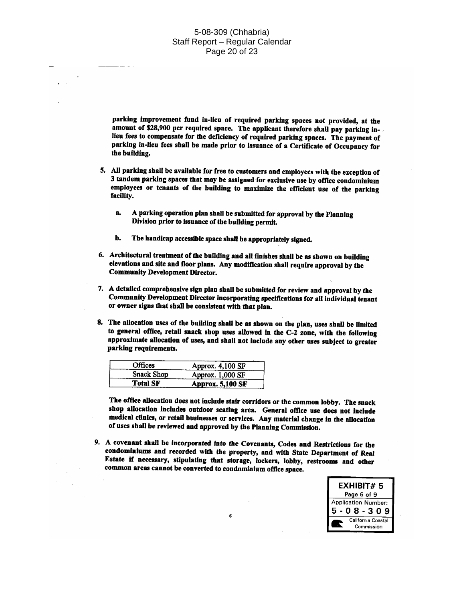#### 5-08-309 (Chhabria) Staff Report - Regular Calendar Page 20 of 23

parking improvement fund in-lieu of required parking spaces not provided, at the amount of \$28,900 per required space. The applicant therefore shall pay parking inlieu fees to compensate for the deficiency of required parking spaces. The payment of parking in-lieu fees shall be made prior to issuance of a Certificate of Occupancy for the building.

- 5. All parking shall be available for free to customers and employees with the exception of 3 tandem parking spaces that may be assigned for exclusive use by office condominium employees or tenants of the building to maximize the efficient use of the parking facility.
	- A parking operation plan shall be submitted for approval by the Planning  $\mathbf{a}$ Division prior to issuance of the building permit.
	- The handicap accessible space shall be appropriately signed. b.
- 6. Architectural treatment of the building and all finishes shall be as shown on building elevations and site and floor plans. Any modification shall require approval by the **Community Development Director.**
- 7. A detailed comprehensive sign plan shall be submitted for review and approval by the Community Development Director incorporating specifications for all individual tenant or owner signs that shall be consistent with that plan.
- 8. The allocation uses of the building shall be as shown on the plan, uses shall be limited to general office, retail snack shop uses allowed in the C-2 zone, with the following approximate allocation of uses, and shall not include any other uses subject to greater parking requirements.

| Offices           | Approx. 4,100 SF        |
|-------------------|-------------------------|
| <b>Snack Shop</b> | Approx. 1,000 SF        |
| <b>Total SF</b>   | <b>Approx. 5,100 SF</b> |

The office allocation does not include stair corridors or the common lobby. The snack shop allocation includes outdoor seating area. General office use does not include medical clinics, or retail businesses or services. Any material change in the allocation of uses shall be reviewed and approved by the Planning Commission.

9. A covenant shall be incorporated into the Covenants, Codes and Restrictions for the condominiums and recorded with the property, and with State Department of Real Estate if necessary, stipulating that storage, lockers, lobby, restrooms and other common areas cannot be converted to condominium office space.

6

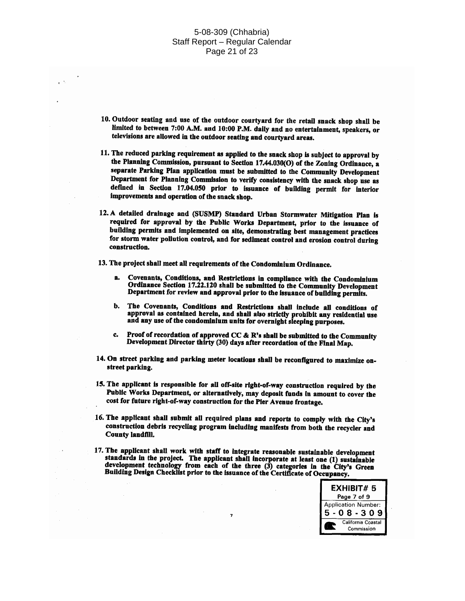#### 5-08-309 (Chhabria) Staff Report - Regular Calendar Page 21 of 23

- 10. Outdoor seating and use of the outdoor courtyard for the retail snack shop shall be limited to between 7:00 A.M. and 10:00 P.M. daily and no entertainment, speakers, or televisions are allowed in the outdoor seating and courtyard areas.
- 11. The reduced parking requirement as applied to the snack shop is subject to approval by the Planning Commission, pursuant to Section 17.44.030(O) of the Zoning Ordinance, a separate Parking Plan application must be submitted to the Community Development Department for Planning Commission to verify consistency with the snack shop use as defined in Section 17.04.050 prior to issuance of building permit for interior improvements and operation of the snack shop.
- 12. A detailed drainage and (SUSMP) Standard Urban Stormwater Mitigation Plan is required for approval by the Public Works Department, prior to the issuance of building permits and implemented on site, demonstrating best management practices for storm water pollution control, and for sediment control and erosion control during construction.
- 13. The project shall meet all requirements of the Condominium Ordinance.
	- я. Covenants, Conditions, and Restrictions in compliance with the Condominium Ordinance Section 17.22.120 shall be submitted to the Community Development Department for review and approval prior to the issuance of building permits.
	- b. The Covenants, Conditions and Restrictions shall include all conditions of approval as contained herein, and shall also strictly prohibit any residential use and any use of the condominium units for overnight sleeping purposes.
	- Proof of recordation of approved CC & R's shall be submitted to the Community  $c_{\rm a}$ Development Director thirty (30) days after recordation of the Final Map.
- 14. On street parking and parking meter locations shall be reconfigured to maximize onstreet parking.
- 15. The applicant is responsible for all off-site right-of-way construction required by the Public Works Department, or alternatively, may deposit funds in amount to cover the cost for future right-of-way construction for the Pier Avenue frontage.
- 16. The applicant shall submit all required plans and reports to comply with the City's construction debris recycling program including manifests from both the recycler and **County landfill.**
- 17. The applicant shall work with staff to integrate reasonable sustainable development standards in the project. The applicant shall incorporate at least one (1) sustainable development technology from each of the three (3) categories in the City's Green Building Design Checklist prior to the issuance of the Certificate of Occupancy.

 $\overline{7}$ 

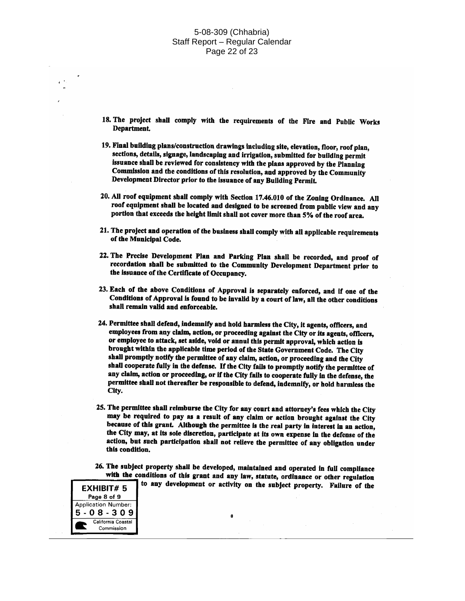#### 5-08-309 (Chhabria) Staff Report - Regular Calendar Page 22 of 23

- 18. The project shall comply with the requirements of the Fire and Public Works Department.
- 19. Final building plans/construction drawings including site, elevation, floor, roof plan, sections, details, signage, landscaping and irrigation, submitted for building permit issuance shall be reviewed for consistency with the plans approved by the Planning Commission and the conditions of this resolution, and approved by the Community Development Director prior to the issuance of any Building Permit.
- 20. All roof equipment shall comply with Section 17.46.010 of the Zoning Ordinance. All roof equipment shall be located and designed to be screened from public view and any portion that exceeds the height limit shall not cover more than 5% of the roof area.
- 21. The project and operation of the business shall comply with all applicable requirements of the Municipal Code.
- 22. The Precise Development Plan and Parking Plan shall be recorded, and proof of recordation shall be submitted to the Community Development Department prior to the issuance of the Certificate of Occupancy.
- 23. Each of the above Conditions of Approval is separately enforced, and if one of the Conditions of Approval is found to be invalid by a court of law, all the other conditions shall remain valid and enforceable.
- 24. Permittee shall defend, indemnify and hold harmless the City, it agents, officers, and employees from any claim, action, or proceeding against the City or its agents, officers, or employee to attack, set aside, void or annul this permit approval, which action is brought within the applicable time period of the State Government Code. The City shall promptly notify the permittee of any claim, action, or proceeding and the City shall cooperate fully in the defense. If the City fails to promptly notify the permittee of any claim, action or proceeding, or if the City fails to cooperate fully in the defense, the permittee shall not thereafter be responsible to defend, indemnify, or hold harmless the City.
- 25. The permittee shall reimburse the City for any court and attorney's fees which the City may be required to pay as a result of any claim or action brought against the City because of this grant. Although the permittee is the real party in interest in an action, the City may, at its sole discretion, participate at its own expense in the defense of the action, but such participation shall not relieve the permittee of any obligation under this condition.
- 26. The subject property shall be developed, maintained and operated in full compliance with the conditions of this grant and any law, statute, ordinance or other regulation to any development or activity on the subject property. Failure of the